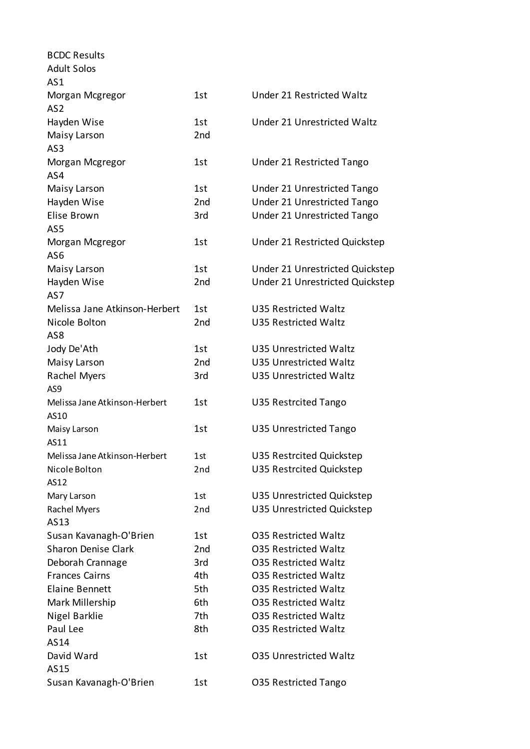| <b>BCDC Results</b>           |                 |                                   |
|-------------------------------|-----------------|-----------------------------------|
| <b>Adult Solos</b>            |                 |                                   |
| AS1                           |                 |                                   |
| Morgan Mcgregor               | 1st             | Under 21 Restricted Waltz         |
| AS <sub>2</sub>               |                 |                                   |
| Hayden Wise                   | 1st             | Under 21 Unrestricted Waltz       |
| Maisy Larson                  | 2nd             |                                   |
| AS3                           |                 |                                   |
| Morgan Mcgregor               | 1st             | Under 21 Restricted Tango         |
| AS4                           |                 |                                   |
| Maisy Larson                  | 1st             | Under 21 Unrestricted Tango       |
| Hayden Wise                   | 2nd             | Under 21 Unrestricted Tango       |
| Elise Brown                   | 3rd             | Under 21 Unrestricted Tango       |
| AS5                           |                 |                                   |
| Morgan Mcgregor               | 1st             | Under 21 Restricted Quickstep     |
| AS <sub>6</sub>               |                 |                                   |
| Maisy Larson                  | 1st             | Under 21 Unrestricted Quickstep   |
| Hayden Wise                   | 2nd             | Under 21 Unrestricted Quickstep   |
| AS7                           |                 |                                   |
| Melissa Jane Atkinson-Herbert | 1st             | <b>U35 Restricted Waltz</b>       |
| Nicole Bolton                 | 2nd             | <b>U35 Restricted Waltz</b>       |
| AS <sub>8</sub>               |                 |                                   |
| Jody De'Ath                   | 1st             | U35 Unrestricted Waltz            |
| Maisy Larson                  | 2nd             | <b>U35 Unrestricted Waltz</b>     |
| Rachel Myers                  | 3rd             | <b>U35 Unrestricted Waltz</b>     |
| AS9                           |                 |                                   |
| Melissa Jane Atkinson-Herbert | 1st             | <b>U35 Restrcited Tango</b>       |
| AS10                          |                 |                                   |
| Maisy Larson                  | 1st             | <b>U35 Unrestricted Tango</b>     |
| AS11                          |                 |                                   |
| Melissa Jane Atkinson-Herbert | 1st             | <b>U35 Restrcited Quickstep</b>   |
| Nicole Bolton                 | 2nd             | <b>U35 Restrcited Quickstep</b>   |
| AS12                          |                 |                                   |
| Mary Larson                   | 1st             | <b>U35 Unrestricted Quickstep</b> |
| Rachel Myers                  | 2 <sub>nd</sub> | <b>U35 Unrestricted Quickstep</b> |
| AS13                          |                 |                                   |
| Susan Kavanagh-O'Brien        | 1st             | <b>035 Restricted Waltz</b>       |
| <b>Sharon Denise Clark</b>    | 2 <sub>nd</sub> | <b>035 Restricted Waltz</b>       |
| Deborah Crannage              | 3rd             | <b>035 Restricted Waltz</b>       |
| <b>Frances Cairns</b>         | 4th             | <b>035 Restricted Waltz</b>       |
| <b>Elaine Bennett</b>         | 5th             | <b>035 Restricted Waltz</b>       |
| Mark Millership               | 6th             | <b>035 Restricted Waltz</b>       |
| Nigel Barklie                 | 7th             | <b>035 Restricted Waltz</b>       |
| Paul Lee                      | 8th             | <b>035 Restricted Waltz</b>       |
| AS14                          |                 |                                   |
| David Ward                    | 1st             | <b>035 Unrestricted Waltz</b>     |
| AS15                          |                 |                                   |
| Susan Kavanagh-O'Brien        | 1st             | <b>035 Restricted Tango</b>       |
|                               |                 |                                   |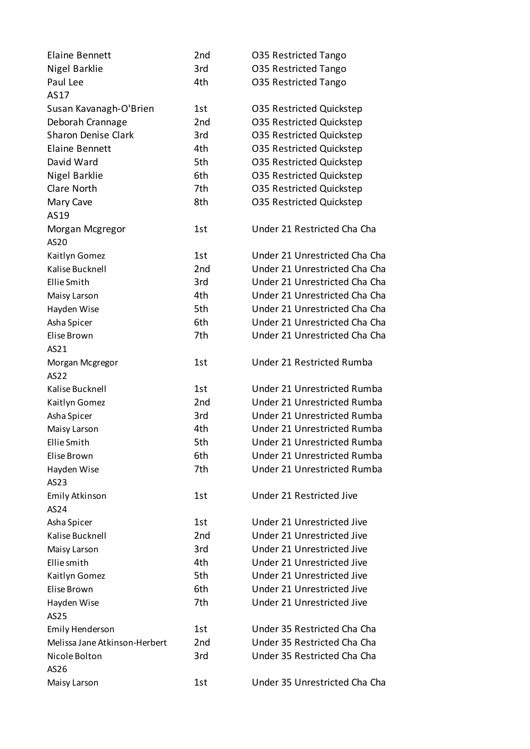| Elaine Bennett                | 2 <sub>nd</sub> | <b>035 Restricted Tango</b>     |
|-------------------------------|-----------------|---------------------------------|
| Nigel Barklie                 | 3rd             | <b>035 Restricted Tango</b>     |
| Paul Lee                      | 4th             | <b>035 Restricted Tango</b>     |
| AS17                          |                 |                                 |
| Susan Kavanagh-O'Brien        | 1st             | 035 Restricted Quickstep        |
| Deborah Crannage              | 2nd             | <b>035 Restricted Quickstep</b> |
| <b>Sharon Denise Clark</b>    | 3rd             | <b>035 Restricted Quickstep</b> |
| <b>Elaine Bennett</b>         | 4th             | <b>035 Restricted Quickstep</b> |
| David Ward                    | 5th             | <b>035 Restricted Quickstep</b> |
| Nigel Barklie                 | 6th             | <b>035 Restricted Quickstep</b> |
| Clare North                   | 7th             | <b>035 Restricted Quickstep</b> |
| Mary Cave                     | 8th             | <b>035 Restricted Quickstep</b> |
| AS19                          |                 |                                 |
| Morgan Mcgregor               | 1st             | Under 21 Restricted Cha Cha     |
| AS20                          |                 |                                 |
| Kaitlyn Gomez                 | 1st             | Under 21 Unrestricted Cha Cha   |
| Kalise Bucknell               | 2nd             | Under 21 Unrestricted Cha Cha   |
| Ellie Smith                   | 3rd             | Under 21 Unrestricted Cha Cha   |
| Maisy Larson                  | 4th             | Under 21 Unrestricted Cha Cha   |
| Hayden Wise                   | 5th             | Under 21 Unrestricted Cha Cha   |
| Asha Spicer                   | 6th             | Under 21 Unrestricted Cha Cha   |
| Elise Brown                   | 7th             | Under 21 Unrestricted Cha Cha   |
| AS21                          |                 |                                 |
| Morgan Mcgregor               | 1st             | Under 21 Restricted Rumba       |
| AS22                          |                 |                                 |
| Kalise Bucknell               | 1st             | Under 21 Unrestricted Rumba     |
| Kaitlyn Gomez                 | 2nd             | Under 21 Unrestricted Rumba     |
| Asha Spicer                   | 3rd             | Under 21 Unrestricted Rumba     |
| Maisy Larson                  | 4th             | Under 21 Unrestricted Rumba     |
| <b>Ellie Smith</b>            | 5th             | Under 21 Unrestricted Rumba     |
| Elise Brown                   | 6th             | Under 21 Unrestricted Rumba     |
| Hayden Wise                   | 7th             | Under 21 Unrestricted Rumba     |
| AS23                          |                 |                                 |
| Emily Atkinson                | 1st             | Under 21 Restricted Jive        |
| AS24                          |                 |                                 |
| Asha Spicer                   | 1st             | Under 21 Unrestricted Jive      |
| Kalise Bucknell               | 2 <sub>nd</sub> | Under 21 Unrestricted Jive      |
| Maisy Larson                  | 3rd             | Under 21 Unrestricted Jive      |
| Ellie smith                   | 4th             | Under 21 Unrestricted Jive      |
| Kaitlyn Gomez                 | 5th             | Under 21 Unrestricted Jive      |
| Elise Brown                   | 6th             | Under 21 Unrestricted Jive      |
| Hayden Wise                   | 7th             | Under 21 Unrestricted Jive      |
| AS25                          |                 |                                 |
| Emily Henderson               | 1st             | Under 35 Restricted Cha Cha     |
| Melissa Jane Atkinson-Herbert | 2 <sub>nd</sub> | Under 35 Restricted Cha Cha     |
| Nicole Bolton                 | 3rd             | Under 35 Restricted Cha Cha     |
| AS26                          |                 |                                 |
| Maisy Larson                  | 1st             | Under 35 Unrestricted Cha Cha   |
|                               |                 |                                 |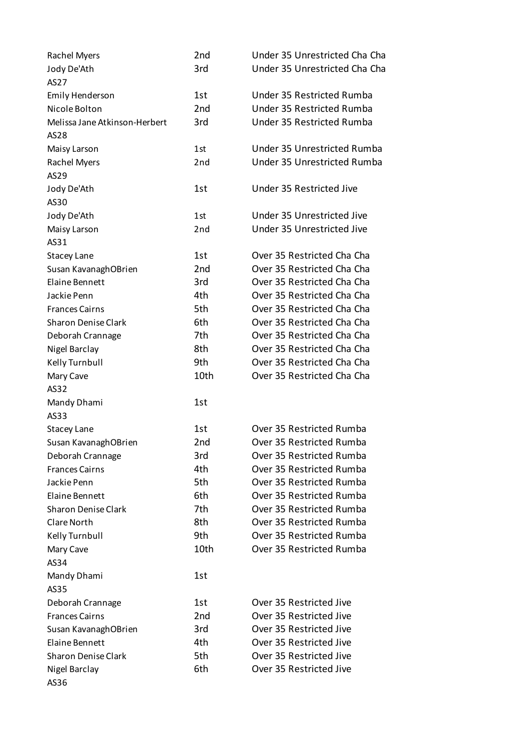| <b>Rachel Myers</b>           | 2nd             | Under 35 Unrestricted Cha Cha |
|-------------------------------|-----------------|-------------------------------|
| Jody De'Ath                   | 3rd             | Under 35 Unrestricted Cha Cha |
| AS27                          |                 |                               |
| <b>Emily Henderson</b>        | 1st             | Under 35 Restricted Rumba     |
| Nicole Bolton                 | 2nd             | Under 35 Restricted Rumba     |
| Melissa Jane Atkinson-Herbert | 3rd             | Under 35 Restricted Rumba     |
| AS28                          |                 |                               |
| Maisy Larson                  | 1st             | Under 35 Unrestricted Rumba   |
| <b>Rachel Myers</b>           | 2 <sub>nd</sub> | Under 35 Unrestricted Rumba   |
| AS29                          |                 |                               |
| Jody De'Ath                   | 1st             | Under 35 Restricted Jive      |
| AS30                          |                 |                               |
| Jody De'Ath                   | 1st             | Under 35 Unrestricted Jive    |
| Maisy Larson                  | 2nd             | Under 35 Unrestricted Jive    |
| AS31                          |                 |                               |
| <b>Stacey Lane</b>            | 1st             | Over 35 Restricted Cha Cha    |
| Susan KavanaghOBrien          | 2nd             | Over 35 Restricted Cha Cha    |
| Elaine Bennett                | 3rd             | Over 35 Restricted Cha Cha    |
| Jackie Penn                   | 4th             | Over 35 Restricted Cha Cha    |
| <b>Frances Cairns</b>         | 5th             | Over 35 Restricted Cha Cha    |
| <b>Sharon Denise Clark</b>    | 6th             | Over 35 Restricted Cha Cha    |
| Deborah Crannage              | 7th             | Over 35 Restricted Cha Cha    |
| Nigel Barclay                 | 8th             | Over 35 Restricted Cha Cha    |
| Kelly Turnbull                | 9th             | Over 35 Restricted Cha Cha    |
| Mary Cave                     | 10th            | Over 35 Restricted Cha Cha    |
| AS32                          |                 |                               |
| Mandy Dhami                   | 1st             |                               |
| AS33                          |                 |                               |
| <b>Stacey Lane</b>            | 1st             | Over 35 Restricted Rumba      |
| Susan KavanaghOBrien          | 2nd             | Over 35 Restricted Rumba      |
| Deborah Crannage              | 3rd             | Over 35 Restricted Rumba      |
| <b>Frances Cairns</b>         | 4th             | Over 35 Restricted Rumba      |
| Jackie Penn                   | 5th             | Over 35 Restricted Rumba      |
| Elaine Bennett                | 6th             | Over 35 Restricted Rumba      |
| <b>Sharon Denise Clark</b>    | 7th             | Over 35 Restricted Rumba      |
| Clare North                   | 8th             | Over 35 Restricted Rumba      |
| Kelly Turnbull                | 9th             | Over 35 Restricted Rumba      |
| Mary Cave                     | 10th            | Over 35 Restricted Rumba      |
| AS34                          |                 |                               |
| Mandy Dhami                   | 1st             |                               |
| AS35                          |                 |                               |
| Deborah Crannage              | 1st             | Over 35 Restricted Jive       |
| <b>Frances Cairns</b>         | 2nd             | Over 35 Restricted Jive       |
| Susan KavanaghOBrien          | 3rd             | Over 35 Restricted Jive       |
| Elaine Bennett                | 4th             | Over 35 Restricted Jive       |
| <b>Sharon Denise Clark</b>    | 5th             | Over 35 Restricted Jive       |
| Nigel Barclay                 | 6th             | Over 35 Restricted Jive       |
| AS36                          |                 |                               |